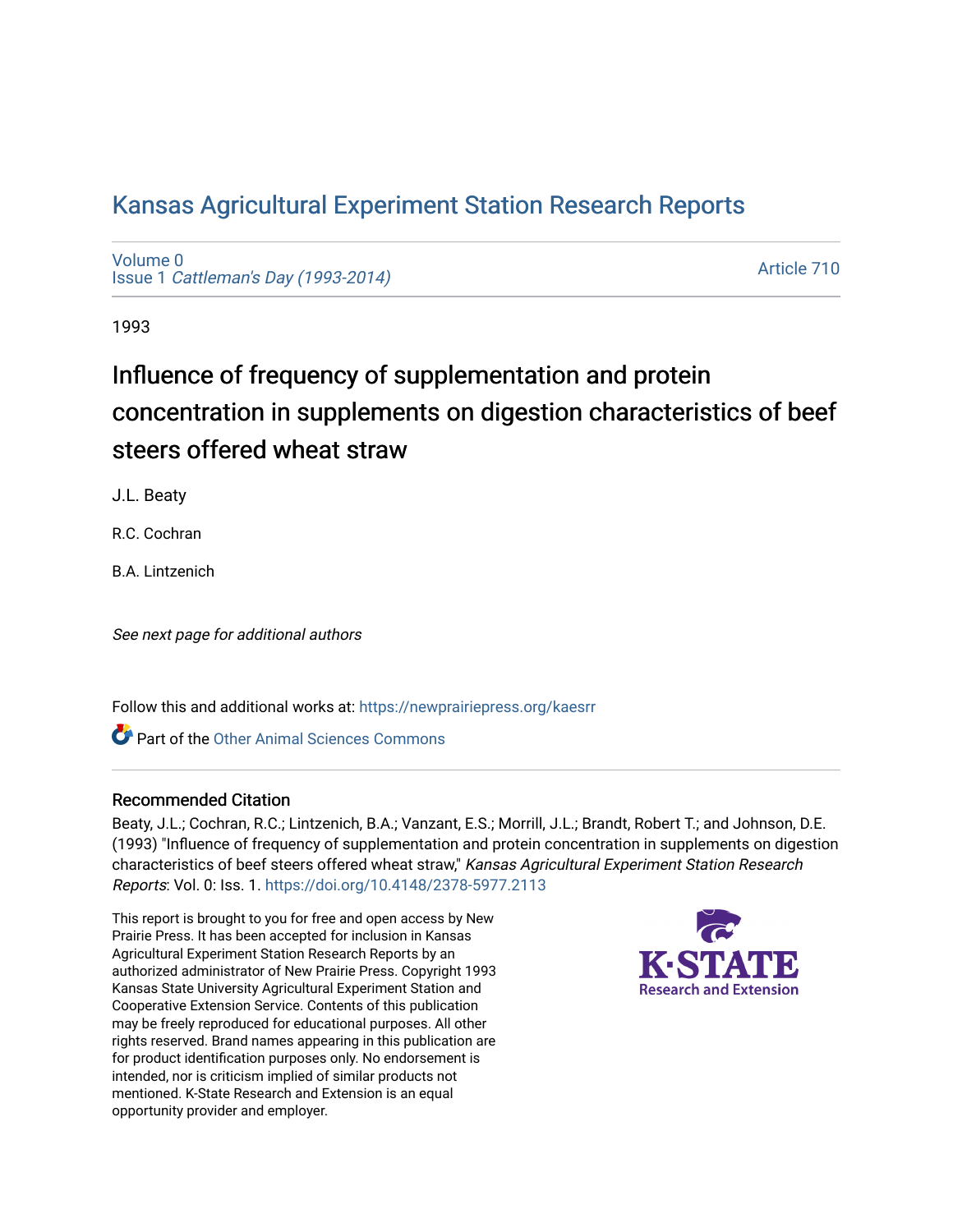## [Kansas Agricultural Experiment Station Research Reports](https://newprairiepress.org/kaesrr)

[Volume 0](https://newprairiepress.org/kaesrr/vol0) Issue 1 [Cattleman's Day \(1993-2014\)](https://newprairiepress.org/kaesrr/vol0/iss1) 

[Article 710](https://newprairiepress.org/kaesrr/vol0/iss1/710) 

1993

# Influence of frequency of supplementation and protein concentration in supplements on digestion characteristics of beef steers offered wheat straw

J.L. Beaty

R.C. Cochran

B.A. Lintzenich

See next page for additional authors

Follow this and additional works at: [https://newprairiepress.org/kaesrr](https://newprairiepress.org/kaesrr?utm_source=newprairiepress.org%2Fkaesrr%2Fvol0%2Fiss1%2F710&utm_medium=PDF&utm_campaign=PDFCoverPages) 

**C** Part of the [Other Animal Sciences Commons](http://network.bepress.com/hgg/discipline/82?utm_source=newprairiepress.org%2Fkaesrr%2Fvol0%2Fiss1%2F710&utm_medium=PDF&utm_campaign=PDFCoverPages)

#### Recommended Citation

Beaty, J.L.; Cochran, R.C.; Lintzenich, B.A.; Vanzant, E.S.; Morrill, J.L.; Brandt, Robert T.; and Johnson, D.E. (1993) "Influence of frequency of supplementation and protein concentration in supplements on digestion characteristics of beef steers offered wheat straw," Kansas Agricultural Experiment Station Research Reports: Vol. 0: Iss. 1.<https://doi.org/10.4148/2378-5977.2113>

This report is brought to you for free and open access by New Prairie Press. It has been accepted for inclusion in Kansas Agricultural Experiment Station Research Reports by an authorized administrator of New Prairie Press. Copyright 1993 Kansas State University Agricultural Experiment Station and Cooperative Extension Service. Contents of this publication may be freely reproduced for educational purposes. All other rights reserved. Brand names appearing in this publication are for product identification purposes only. No endorsement is intended, nor is criticism implied of similar products not mentioned. K-State Research and Extension is an equal opportunity provider and employer.

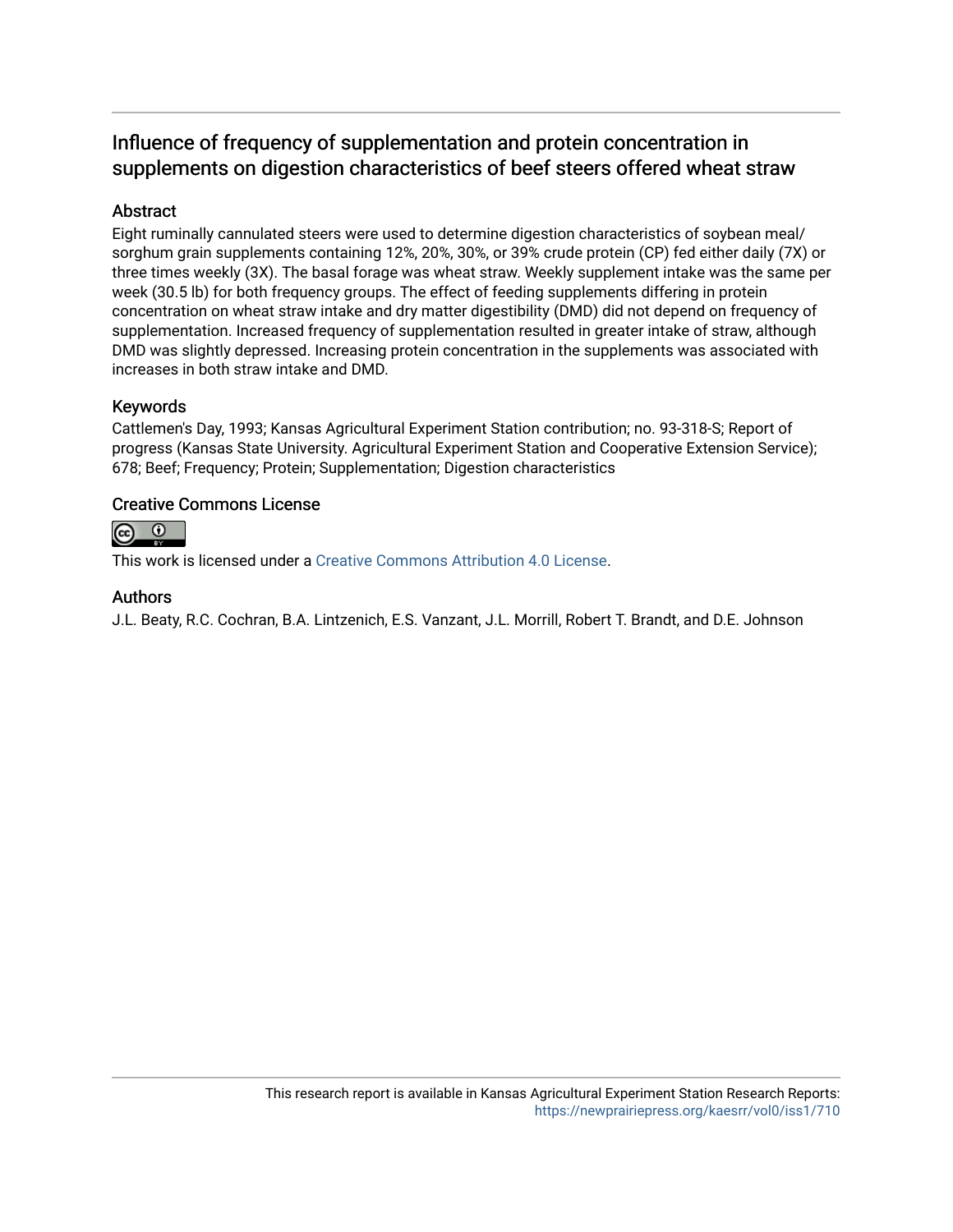### Influence of frequency of supplementation and protein concentration in supplements on digestion characteristics of beef steers offered wheat straw

#### Abstract

Eight ruminally cannulated steers were used to determine digestion characteristics of soybean meal/ sorghum grain supplements containing 12%, 20%, 30%, or 39% crude protein (CP) fed either daily (7X) or three times weekly (3X). The basal forage was wheat straw. Weekly supplement intake was the same per week (30.5 lb) for both frequency groups. The effect of feeding supplements differing in protein concentration on wheat straw intake and dry matter digestibility (DMD) did not depend on frequency of supplementation. Increased frequency of supplementation resulted in greater intake of straw, although DMD was slightly depressed. Increasing protein concentration in the supplements was associated with increases in both straw intake and DMD.

#### Keywords

Cattlemen's Day, 1993; Kansas Agricultural Experiment Station contribution; no. 93-318-S; Report of progress (Kansas State University. Agricultural Experiment Station and Cooperative Extension Service); 678; Beef; Frequency; Protein; Supplementation; Digestion characteristics

#### Creative Commons License



This work is licensed under a [Creative Commons Attribution 4.0 License](https://creativecommons.org/licenses/by/4.0/).

#### Authors

J.L. Beaty, R.C. Cochran, B.A. Lintzenich, E.S. Vanzant, J.L. Morrill, Robert T. Brandt, and D.E. Johnson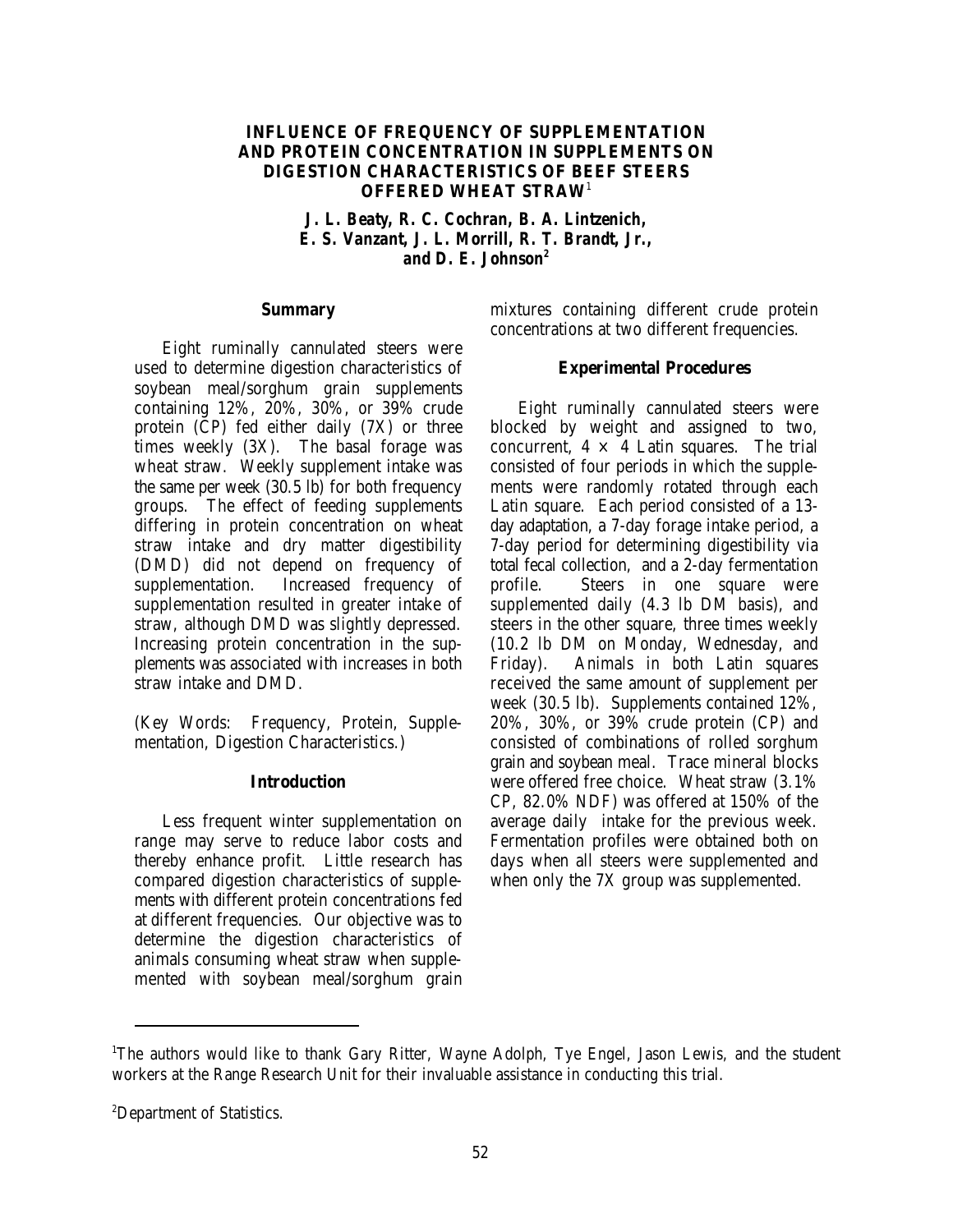#### **INFLUENCE OF FREQUENCY OF SUPPLEMENTATION AND PROTEIN CONCENTRATION IN SUPPLEMENTS ON DIGESTION CHARACTERISTICS OF BEEF STEERS OFFERED WHEAT STRAW**<sup>1</sup>

*J. L. Beaty, R. C. Cochran, B. A. Lintzenich, E. S. Vanzant, J. L. Morrill, R. T. Brandt, Jr., and D. E. Johnson2*

#### **Summary**

Eight ruminally cannulated steers were used to determine digestion characteristics of soybean meal/sorghum grain supplements containing 12%, 20%, 30%, or 39% crude protein (CP) fed either daily (7X) or three times weekly (3X). The basal forage was wheat straw. Weekly supplement intake was the same per week (30.5 lb) for both frequency groups. The effect of feeding supplements differing in protein concentration on wheat straw intake and dry matter digestibility (DMD) did not depend on frequency of supplementation. Increased frequency of supplementation resulted in greater intake of straw, although DMD was slightly depressed. Increasing protein concentration in the supplements was associated with increases in both straw intake and DMD.

(Key Words: Frequency, Protein, Supplementation, Digestion Characteristics.)

#### **Introduction**

Less frequent winter supplementation on range may serve to reduce labor costs and thereby enhance profit. Little research has compared digestion characteristics of supplements with different protein concentrations fed at different frequencies. Our objective was to determine the digestion characteristics of animals consuming wheat straw when supplemented with soybean meal/sorghum grain

mixtures containing different crude protein concentrations at two different frequencies.

#### **Experimental Procedures**

Eight ruminally cannulated steers were blocked by weight and assigned to two, concurrent,  $4 \times 4$  Latin squares. The trial consisted of four periods in which the supplements were randomly rotated through each Latin square. Each period consisted of a 13 day adaptation, a 7-day forage intake period, a 7-day period for determining digestibility via total fecal collection, and a 2-day fermentation profile. Steers in one square were supplemented daily (4.3 lb DM basis), and steers in the other square, three times weekly (10.2 lb DM on Monday, Wednesday, and Friday). Animals in both Latin squares received the same amount of supplement per week (30.5 lb). Supplements contained 12%, 20%, 30%, or 39% crude protein (CP) and consisted of combinations of rolled sorghum grain and soybean meal. Trace mineral blocks were offered free choice. Wheat straw (3.1% CP, 82.0% NDF) was offered at 150% of the average daily intake for the previous week. Fermentation profiles were obtained both on days when all steers were supplemented and when only the 7X group was supplemented.

<sup>&</sup>lt;sup>1</sup>The authors would like to thank Gary Ritter, Wayne Adolph, Tye Engel, Jason Lewis, and the student workers at the Range Research Unit for their invaluable assistance in conducting this trial.

<sup>&</sup>lt;sup>2</sup>Department of Statistics.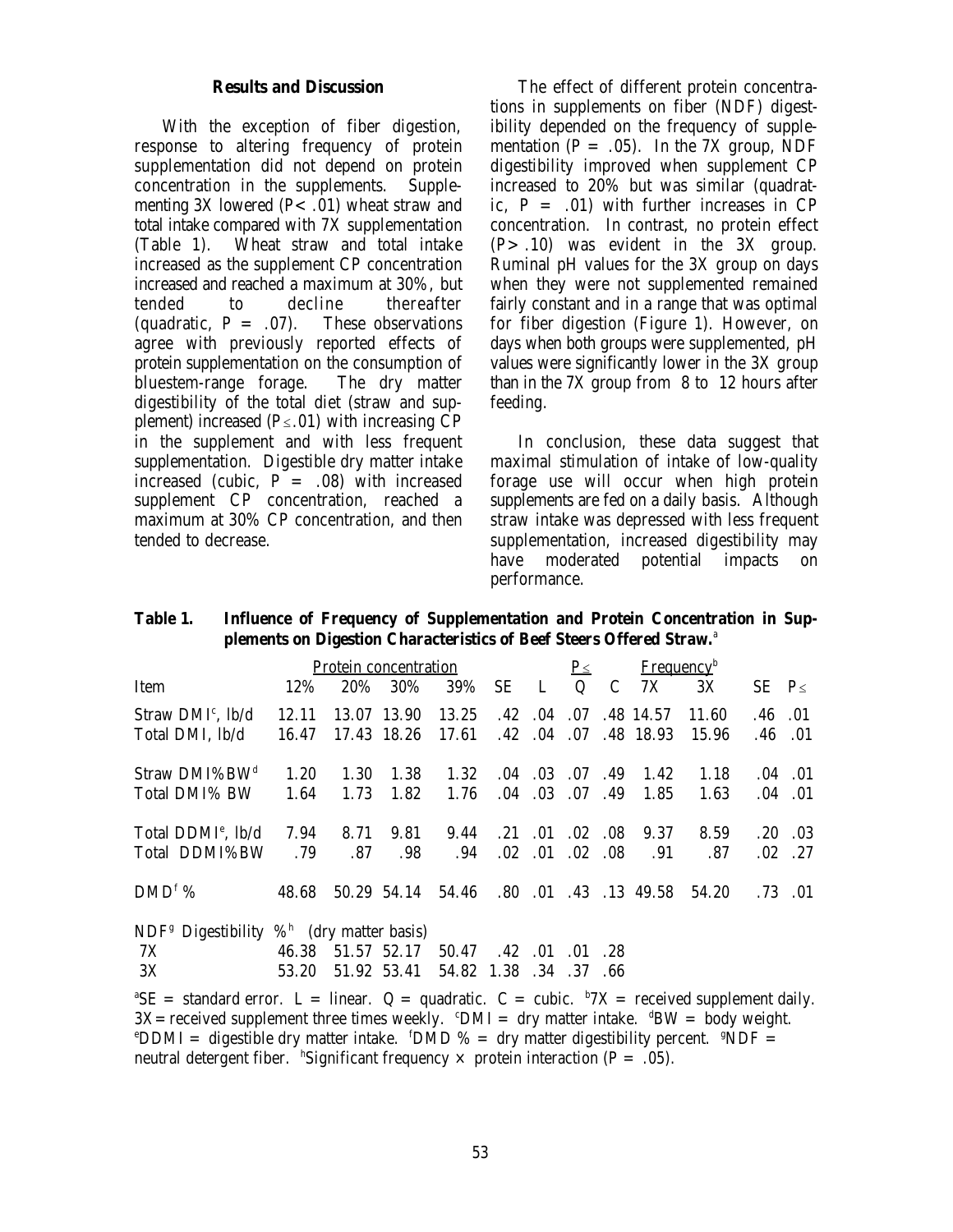#### **Results and Discussion**

With the exception of fiber digestion, response to altering frequency of protein supplementation did not depend on protein concentration in the supplements. Supplementing  $3X$  lowered (P< .01) wheat straw and total intake compared with 7X supplementation (Table 1). Wheat straw and total intake increased as the supplement CP concentration increased and reached a maximum at 30%, but tended to decline thereafter (quadratic,  $P = .07$ ). These observations agree with previously reported effects of protein supplementation on the consumption of bluestem-range forage. The dry matter digestibility of the total diet (straw and supplement) increased  $(P \le .01)$  with increasing CP in the supplement and with less frequent supplementation. Digestible dry matter intake increased (cubic,  $P = .08$ ) with increased supplement CP concentration, reached a maximum at 30% CP concentration, and then tended to decrease.

The effect of different protein concentrations in supplements on fiber (NDF) digestibility depended on the frequency of supplementation ( $P = .05$ ). In the 7X group, NDF digestibility improved when supplement CP increased to 20% but was similar (quadratic,  $P = .01$ ) with further increases in CP concentration. In contrast, no protein effect  $(P > .10)$  was evident in the 3X group. Ruminal pH values for the 3X group on days when they were not supplemented remained fairly constant and in a range that was optimal for fiber digestion (Figure 1). However, on days when both groups were supplemented, pH values were significantly lower in the 3X group than in the 7X group from 8 to 12 hours after feeding.

In conclusion, these data suggest that maximal stimulation of intake of low-quality forage use will occur when high protein supplements are fed on a daily basis. Although straw intake was depressed with less frequent supplementation, increased digestibility may have moderated potential impacts on performance.

#### **Table 1. Influence of Frequency of Supplementation and Protein Concentration in Supplements on Digestion Characteristics of Beef Steers Offered Straw.**<sup>a</sup>

|                                                                                                                    | Protein concentration |      |                                         |                        |                 |                           | $\underline{P_{\le}}$<br><b>Frequency</b> <sup>b</sup> |     |                                                 |       |               |                 |
|--------------------------------------------------------------------------------------------------------------------|-----------------------|------|-----------------------------------------|------------------------|-----------------|---------------------------|--------------------------------------------------------|-----|-------------------------------------------------|-------|---------------|-----------------|
| Item                                                                                                               | 12%                   | 20%  | 30%                                     | 39%                    | <b>SE</b>       | $\mathbf{L}$              | Q                                                      | C   | 7X                                              | 3X    | $SE$ $P \leq$ |                 |
| Straw DMI <sup>c</sup> , lb/d                                                                                      | 12.11                 |      | 13.07 13.90                             | 13.25                  |                 | $.42 \quad .04 \quad .07$ |                                                        |     | .48 14.57                                       | 11.60 | .46           | $\cdot$ .01     |
| Total DMI, lb/d                                                                                                    | 16.47                 |      | 17.43 18.26                             | 17.61                  |                 |                           |                                                        |     | $.42 \quad .04 \quad .07 \quad .48 \quad 18.93$ | 15.96 | .46           | 0.01            |
| Straw DMI%BW <sup>d</sup>                                                                                          | 1.20                  | 1.30 | 1.38                                    | 1.32                   | .04             | .03                       | .07                                                    | .49 | 1.42                                            | 1.18  |               | $.04 \quad .01$ |
| Total DMI% BW                                                                                                      | 1.64                  | 1.73 | 1.82                                    | 1.76                   |                 | $.04 \quad .03$           | .07.49                                                 |     | 1.85                                            | 1.63  |               | $.04$ .01       |
| Total DDMI <sup>e</sup> , lb/d                                                                                     | 7.94                  | 8.71 | 9.81                                    | 9.44                   | $.21 \quad .01$ |                           | $.02\,$                                                | .08 | 9.37                                            | 8.59  | $.20\,$       | .03             |
| Total DDMI%BW                                                                                                      | .79                   | .87  | .98.                                    | .94                    |                 | $.02 \quad .01$           | $.02 \quad .08$                                        |     | .91                                             | .87   |               | $.02$ .27       |
| $DMDf$ %                                                                                                           | 48.68                 |      | 50.29 54.14 54.46 .80 .01 .43 .13 49.58 |                        |                 |                           |                                                        |     |                                                 | 54.20 |               | $.73$ $.01$     |
| NDF <sup>g</sup> Digestibility $\%$ <sup>h</sup> (dry matter basis)                                                |                       |      |                                         |                        |                 |                           |                                                        |     |                                                 |       |               |                 |
| 7X                                                                                                                 | 46.38                 |      | 51.57 52.17                             | 50.47                  | $.42$ $.01$     |                           | .01                                                    | 28  |                                                 |       |               |                 |
| 3X                                                                                                                 | 53.20                 |      | 51.92 53.41                             | 54.82 1.38 .34 .37 .66 |                 |                           |                                                        |     |                                                 |       |               |                 |
| <sup>a</sup> SE = standard error. L = linear. Q = quadratic. C = cubic. $\frac{b}{X}$ = received supplement daily. |                       |      |                                         |                        |                 |                           |                                                        |     |                                                 |       |               |                 |

 $3X=$  received supplement three times weekly.  $\Omega_M = dxy$  matter intake.  $dBW = body$  weight.  $\text{CDMM} = \text{digestible dry matter intake. } \text{fMDD} \% = \text{dry matter digestibility percent. } \text{fNDF} =$ neutral detergent fiber. "Significant frequency  $\times$  protein interaction (P = .05).